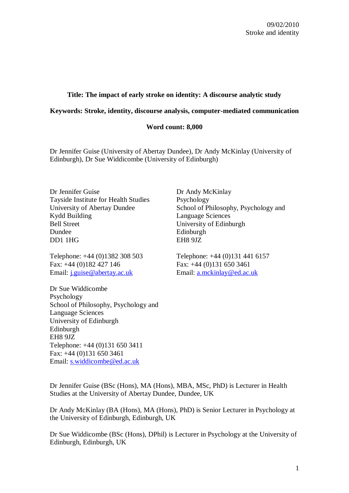# **Title: The impact of early stroke on identity: A discourse analytic study**

# **Keywords: Stroke, identity, discourse analysis, computer-mediated communication**

# **Word count: 8,000**

Dr Jennifer Guise (University of Abertay Dundee), Dr Andy McKinlay (University of Edinburgh), Dr Sue Widdicombe (University of Edinburgh)

Dr Jennifer Guise Dr Andy McKinlay Tayside Institute for Health Studies Psychology Kydd Building Language Sciences Bell Street University of Edinburgh Dundee Edinburgh DD1 1HG EH8 9JZ

Telephone: +44 (0)1382 308 503 Telephone: +44 (0)131 441 6157 Fax: +44 (0)182 427 146 Fax: +44 (0)131 650 3461 Email: [j.guise@abertay.ac.uk](mailto:j.guise@abertay.ac.uk) Email: [a.mckinlay@ed.ac.uk](mailto:a.mckinlay@ed.ac.uk)

Dr Sue Widdicombe Psychology School of Philosophy, Psychology and Language Sciences University of Edinburgh Edinburgh EH8 9JZ Telephone: +44 (0)131 650 3411 Fax: +44 (0)131 650 3461 Email: [s.widdicombe@ed.ac.uk](mailto:a.mckinlay@ed.ac.uk)

University of Abertay Dundee School of Philosophy, Psychology and

Dr Jennifer Guise (BSc (Hons), MA (Hons), MBA, MSc, PhD) is Lecturer in Health Studies at the University of Abertay Dundee, Dundee, UK

Dr Andy McKinlay (BA (Hons), MA (Hons), PhD) is Senior Lecturer in Psychology at the University of Edinburgh, Edinburgh, UK

Dr Sue Widdicombe (BSc (Hons), DPhil) is Lecturer in Psychology at the University of Edinburgh, Edinburgh, UK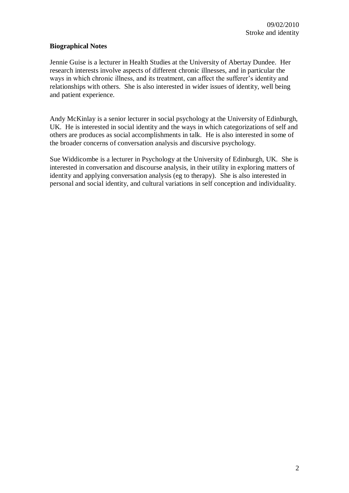# **Biographical Notes**

Jennie Guise is a lecturer in Health Studies at the University of Abertay Dundee. Her research interests involve aspects of different chronic illnesses, and in particular the ways in which chronic illness, and its treatment, can affect the sufferer"s identity and relationships with others. She is also interested in wider issues of identity, well being and patient experience.

Andy McKinlay is a senior lecturer in social psychology at the University of Edinburgh, UK. He is interested in social identity and the ways in which categorizations of self and others are produces as social accomplishments in talk. He is also interested in some of the broader concerns of conversation analysis and discursive psychology.

Sue Widdicombe is a lecturer in Psychology at the University of Edinburgh, UK. She is interested in conversation and discourse analysis, in their utility in exploring matters of identity and applying conversation analysis (eg to therapy). She is also interested in personal and social identity, and cultural variations in self conception and individuality.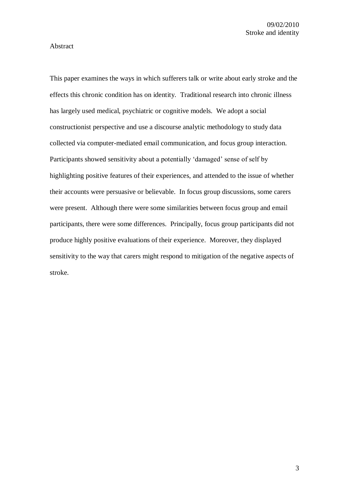#### Abstract

This paper examines the ways in which sufferers talk or write about early stroke and the effects this chronic condition has on identity. Traditional research into chronic illness has largely used medical, psychiatric or cognitive models. We adopt a social constructionist perspective and use a discourse analytic methodology to study data collected via computer-mediated email communication, and focus group interaction. Participants showed sensitivity about a potentially 'damaged' sense of self by highlighting positive features of their experiences, and attended to the issue of whether their accounts were persuasive or believable. In focus group discussions, some carers were present. Although there were some similarities between focus group and email participants, there were some differences. Principally, focus group participants did not produce highly positive evaluations of their experience. Moreover, they displayed sensitivity to the way that carers might respond to mitigation of the negative aspects of stroke.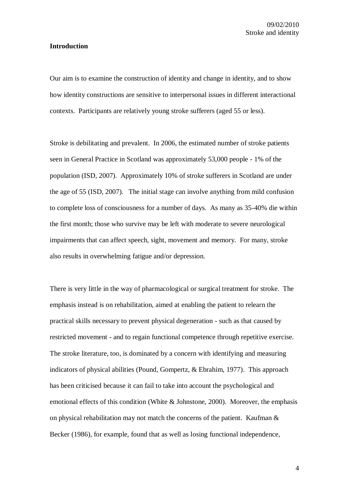#### **Introduction**

Our aim is to examine the construction of identity and change in identity, and to show how identity constructions are sensitive to interpersonal issues in different interactional contexts. Participants are relatively young stroke sufferers (aged 55 or less).

Stroke is debilitating and prevalent. In 2006, the estimated number of stroke patients seen in General Practice in Scotland was approximately 53,000 people - 1% of the population (ISD, 2007). Approximately 10% of stroke sufferers in Scotland are under the age of 55 (ISD, 2007). The initial stage can involve anything from mild confusion to complete loss of consciousness for a number of days. As many as 35-40% die within the first month; those who survive may be left with moderate to severe neurological impairments that can affect speech, sight, movement and memory. For many, stroke also results in overwhelming fatigue and/or depression.

There is very little in the way of pharmacological or surgical treatment for stroke. The emphasis instead is on rehabilitation, aimed at enabling the patient to relearn the practical skills necessary to prevent physical degeneration - such as that caused by restricted movement - and to regain functional competence through repetitive exercise. The stroke literature, too, is dominated by a concern with identifying and measuring indicators of physical abilities (Pound, Gompertz, & Ebrahim, 1977).This approach has been criticised because it can fail to take into account the psychological and emotional effects of this condition (White & Johnstone, 2000). Moreover, the emphasis on physical rehabilitation may not match the concerns of the patient. Kaufman & Becker (1986), for example, found that as well as losing functional independence,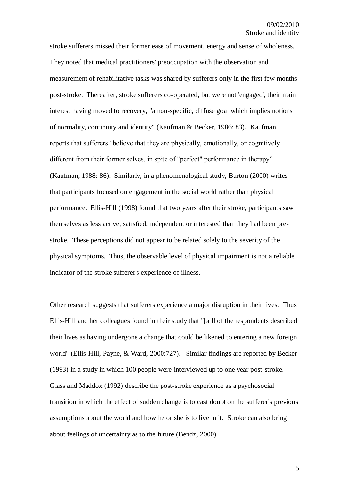stroke sufferers missed their former ease of movement, energy and sense of wholeness. They noted that medical practitioners' preoccupation with the observation and measurement of rehabilitative tasks was shared by sufferers only in the first few months post-stroke. Thereafter, stroke sufferers co-operated, but were not 'engaged', their main interest having moved to recovery, "a non-specific, diffuse goal which implies notions of normality, continuity and identity" (Kaufman & Becker, 1986: 83). Kaufman reports that sufferers "believe that they are physically, emotionally, or cognitively different from their former selves, in spite of "perfect" performance in therapy" (Kaufman, 1988: 86). Similarly, in a phenomenological study, Burton (2000) writes that participants focused on engagement in the social world rather than physical performance. Ellis-Hill (1998) found that two years after their stroke, participants saw themselves as less active, satisfied, independent or interested than they had been prestroke. These perceptions did not appear to be related solely to the severity of the physical symptoms. Thus, the observable level of physical impairment is not a reliable indicator of the stroke sufferer's experience of illness.

Other research suggests that sufferers experience a major disruption in their lives. Thus Ellis-Hill and her colleagues found in their study that "[a]ll of the respondents described their lives as having undergone a change that could be likened to entering a new foreign world" (Ellis-Hill, Payne, & Ward, 2000:727). Similar findings are reported by Becker (1993) in a study in which 100 people were interviewed up to one year post-stroke. Glass and Maddox (1992) describe the post-stroke experience as a psychosocial transition in which the effect of sudden change is to cast doubt on the sufferer's previous assumptions about the world and how he or she is to live in it. Stroke can also bring about feelings of uncertainty as to the future (Bendz, 2000).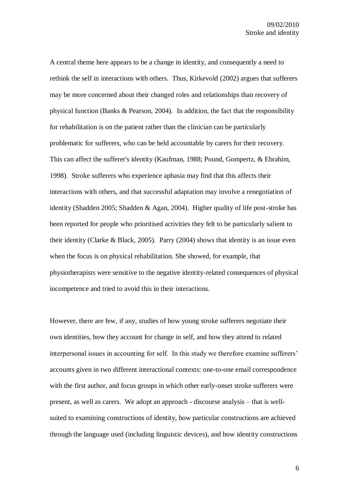A central theme here appears to be a change in identity, and consequently a need to rethink the self in interactions with others. Thus, Kirkevold (2002) argues that sufferers may be more concerned about their changed roles and relationships than recovery of physical function (Banks & Pearson, 2004).In addition, the fact that the responsibility for rehabilitation is on the patient rather than the clinician can be particularly problematic for sufferers, who can be held accountable by carers for their recovery. This can affect the sufferer's identity (Kaufman, 1988; Pound, Gompertz, & Ebrahim, 1998). Stroke sufferers who experience aphasia may find that this affects their interactions with others, and that successful adaptation may involve a renegotiation of identity (Shadden 2005; Shadden & Agan, 2004). Higher quality of life post-stroke has been reported for people who prioritised activities they felt to be particularly salient to their identity (Clarke & Black, 2005). Parry (2004) shows that identity is an issue even when the focus is on physical rehabilitation. She showed, for example, that physiotherapists were sensitive to the negative identity-related consequences of physical incompetence and tried to avoid this in their interactions.

However, there are few, if any, studies of how young stroke sufferers negotiate their own identities, how they account for change in self, and how they attend to related interpersonal issues in accounting for self. In this study we therefore examine sufferers' accounts given in two different interactional contexts: one-to-one email correspondence with the first author, and focus groups in which other early-onset stroke sufferers were present, as well as carers. We adopt an approach - discourse analysis – that is wellsuited to examining constructions of identity, how particular constructions are achieved through the language used (including linguistic devices), and how identity constructions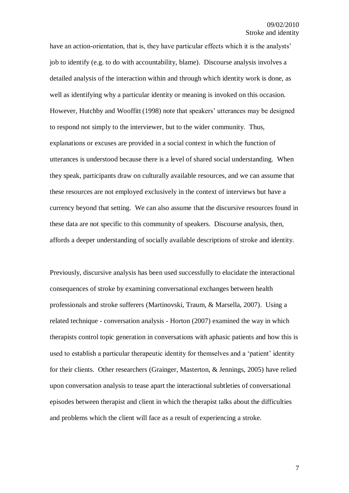have an action-orientation, that is, they have particular effects which it is the analysts' job to identify (e.g. to do with accountability, blame). Discourse analysis involves a detailed analysis of the interaction within and through which identity work is done, as well as identifying why a particular identity or meaning is invoked on this occasion. However, Hutchby and Wooffitt (1998) note that speakers' utterances may be designed to respond not simply to the interviewer, but to the wider community. Thus, explanations or excuses are provided in a social context in which the function of utterances is understood because there is a level of shared social understanding. When they speak, participants draw on culturally available resources, and we can assume that these resources are not employed exclusively in the context of interviews but have a currency beyond that setting. We can also assume that the discursive resources found in these data are not specific to this community of speakers. Discourse analysis, then, affords a deeper understanding of socially available descriptions of stroke and identity.

Previously, discursive analysis has been used successfully to elucidate the interactional consequences of stroke by examining conversational exchanges between health professionals and stroke sufferers (Martinovski, Traum, & Marsella, 2007). Using a related technique - conversation analysis - Horton (2007) examined the way in which therapists control topic generation in conversations with aphasic patients and how this is used to establish a particular therapeutic identity for themselves and a "patient" identity for their clients. Other researchers (Grainger, Masterton, & Jennings, 2005) have relied upon conversation analysis to tease apart the interactional subtleties of conversational episodes between therapist and client in which the therapist talks about the difficulties and problems which the client will face as a result of experiencing a stroke.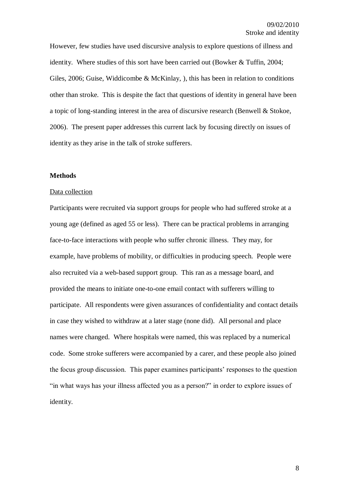However, few studies have used discursive analysis to explore questions of illness and identity. Where studies of this sort have been carried out (Bowker & Tuffin, 2004; Giles, 2006; Guise, Widdicombe & McKinlay, ), this has been in relation to conditions other than stroke. This is despite the fact that questions of identity in general have been a topic of long-standing interest in the area of discursive research (Benwell & Stokoe, 2006). The present paper addresses this current lack by focusing directly on issues of identity as they arise in the talk of stroke sufferers.

#### **Methods**

#### Data collection

Participants were recruited via support groups for people who had suffered stroke at a young age (defined as aged 55 or less). There can be practical problems in arranging face-to-face interactions with people who suffer chronic illness. They may, for example, have problems of mobility, or difficulties in producing speech. People were also recruited via a web-based support group. This ran as a message board, and provided the means to initiate one-to-one email contact with sufferers willing to participate. All respondents were given assurances of confidentiality and contact details in case they wished to withdraw at a later stage (none did). All personal and place names were changed. Where hospitals were named, this was replaced by a numerical code. Some stroke sufferers were accompanied by a carer, and these people also joined the focus group discussion. This paper examines participants" responses to the question "in what ways has your illness affected you as a person?" in order to explore issues of identity.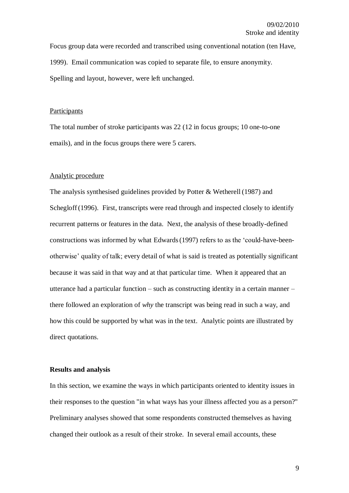Focus group data were recorded and transcribed using conventional notation (ten Have, 1999). Email communication was copied to separate file, to ensure anonymity. Spelling and layout, however, were left unchanged.

#### **Participants**

The total number of stroke participants was 22 (12 in focus groups; 10 one-to-one emails), and in the focus groups there were 5 carers.

#### Analytic procedure

The analysis synthesised guidelines provided by Potter & Wetherell (1987) and Schegloff (1996). First, transcripts were read through and inspected closely to identify recurrent patterns or features in the data. Next, the analysis of these broadly-defined constructions was informed by what Edwards(1997) refers to as the "could-have-beenotherwise" quality of talk; every detail of what is said is treated as potentially significant because it was said in that way and at that particular time. When it appeared that an utterance had a particular function – such as constructing identity in a certain manner – there followed an exploration of *why* the transcript was being read in such a way, and how this could be supported by what was in the text. Analytic points are illustrated by direct quotations.

#### **Results and analysis**

In this section, we examine the ways in which participants oriented to identity issues in their responses to the question "in what ways has your illness affected you as a person?" Preliminary analyses showed that some respondents constructed themselves as having changed their outlook as a result of their stroke. In several email accounts, these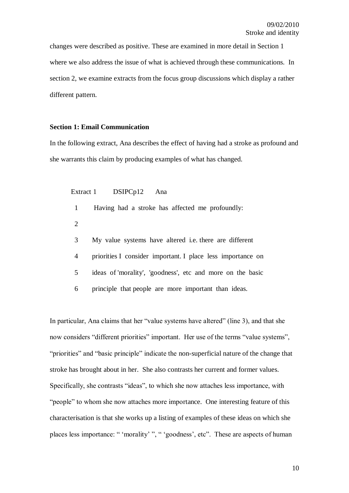changes were described as positive. These are examined in more detail in Section 1 where we also address the issue of what is achieved through these communications. In section 2, we examine extracts from the focus group discussions which display a rather different pattern.

## **Section 1: Email Communication**

In the following extract, Ana describes the effect of having had a stroke as profound and she warrants this claim by producing examples of what has changed.

Extract 1 DSIPCp12 Ana

1 Having had a stroke has affected me profoundly:

- 2
- 3 My value systems have altered i.e. there are different
- 4 priorities I consider important. I place less importance on
- 5 ideas of 'morality', 'goodness', etc and more on the basic
- 6 principle that people are more important than ideas.

In particular, Ana claims that her "value systems have altered" (line 3), and that she now considers "different priorities" important. Her use of the terms "value systems", "priorities" and "basic principle" indicate the non-superficial nature of the change that stroke has brought about in her. She also contrasts her current and former values. Specifically, she contrasts "ideas", to which she now attaches less importance, with "people" to whom she now attaches more importance. One interesting feature of this characterisation is that she works up a listing of examples of these ideas on which she places less importance: " 'morality' ", " 'goodness', etc". These are aspects of human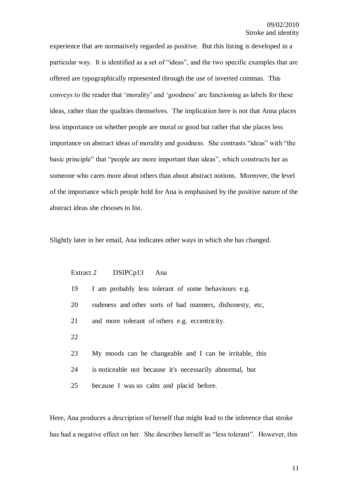experience that are normatively regarded as positive. But this listing is developed in a particular way. It is identified as a set of "ideas", and the two specific examples that are offered are typographically represented through the use of inverted commas. This conveys to the reader that "morality" and "goodness" are functioning as labels for these ideas, rather than the qualities themselves. The implication here is not that Anna places less importance on whether people are moral or good but rather that she places less importance on abstract ideas of morality and goodness. She contrasts "ideas" with "the basic principle" that "people are more important than ideas", which constructs her as someone who cares more about others than about abstract notions. Moreover, the level of the importance which people hold for Ana is emphasised by the positive nature of the abstract ideas she chooses to list.

Slightly later in her email, Ana indicates other ways in which she has changed.

| Extract 2 | DSIPCp13<br>Ana                                           |
|-----------|-----------------------------------------------------------|
| 19        | I am probably less tolerant of some behaviours e.g.       |
| 20        | rudeness and other sorts of bad manners, dishonesty, etc, |
| 21        | and more tolerant of others e.g. eccentricity.            |
| 22        |                                                           |
| 23        | My moods can be changeable and I can be irritable, this   |
| 24        | is noticeable not because it's necessarily abnormal, but  |
| 25        | because I was so calm and placid before.                  |

Here, Ana produces a description of herself that might lead to the inference that stroke has had a negative effect on her. She describes herself as "less tolerant". However, this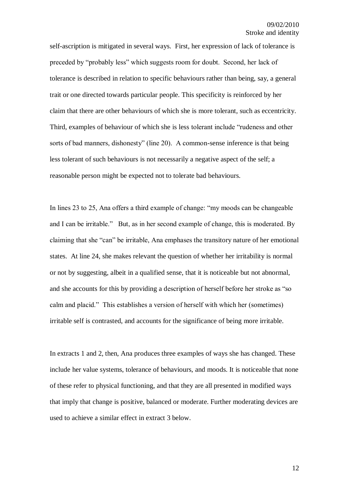self-ascription is mitigated in several ways. First, her expression of lack of tolerance is preceded by "probably less" which suggests room for doubt. Second, her lack of tolerance is described in relation to specific behaviours rather than being, say, a general trait or one directed towards particular people. This specificity is reinforced by her claim that there are other behaviours of which she is more tolerant, such as eccentricity. Third, examples of behaviour of which she is less tolerant include "rudeness and other sorts of bad manners, dishonesty" (line 20). A common-sense inference is that being less tolerant of such behaviours is not necessarily a negative aspect of the self; a reasonable person might be expected not to tolerate bad behaviours.

In lines 23 to 25, Ana offers a third example of change: "my moods can be changeable and I can be irritable." But, as in her second example of change, this is moderated. By claiming that she "can" be irritable, Ana emphases the transitory nature of her emotional states. At line 24, she makes relevant the question of whether her irritability is normal or not by suggesting, albeit in a qualified sense, that it is noticeable but not abnormal, and she accounts for this by providing a description of herself before her stroke as "so calm and placid." This establishes a version of herself with which her (sometimes) irritable self is contrasted, and accounts for the significance of being more irritable.

In extracts 1 and 2, then, Ana produces three examples of ways she has changed. These include her value systems, tolerance of behaviours, and moods. It is noticeable that none of these refer to physical functioning, and that they are all presented in modified ways that imply that change is positive, balanced or moderate. Further moderating devices are used to achieve a similar effect in extract 3 below.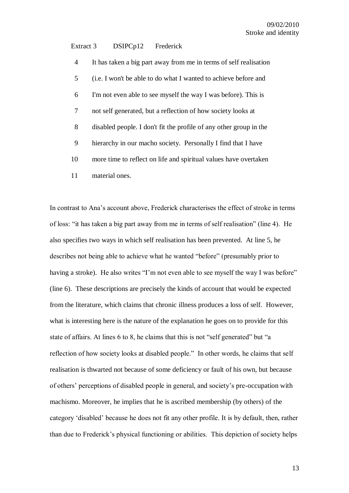#### Extract 3 DSIPCp12 Frederick

| $\overline{4}$ | It has taken a big part away from me in terms of self realisation  |
|----------------|--------------------------------------------------------------------|
| 5              | (i.e. I won't be able to do what I wanted to achieve before and    |
| 6              | I'm not even able to see myself the way I was before). This is     |
| 7              | not self generated, but a reflection of how society looks at       |
| 8              | disabled people. I don't fit the profile of any other group in the |
| 9              | hierarchy in our macho society. Personally I find that I have      |
| 10             | more time to reflect on life and spiritual values have overtaken   |
| 11             | material ones.                                                     |

In contrast to Ana"s account above, Frederick characterises the effect of stroke in terms of loss: "it has taken a big part away from me in terms of self realisation" (line 4). He also specifies two ways in which self realisation has been prevented. At line 5, he describes not being able to achieve what he wanted "before" (presumably prior to having a stroke). He also writes "I'm not even able to see myself the way I was before" (line 6). These descriptions are precisely the kinds of account that would be expected from the literature, which claims that chronic illness produces a loss of self. However, what is interesting here is the nature of the explanation he goes on to provide for this state of affairs. At lines 6 to 8, he claims that this is not "self generated" but "a reflection of how society looks at disabled people." In other words, he claims that self realisation is thwarted not because of some deficiency or fault of his own, but because of others" perceptions of disabled people in general, and society"s pre-occupation with machismo. Moreover, he implies that he is ascribed membership (by others) of the category "disabled" because he does not fit any other profile. It is by default, then, rather than due to Frederick"s physical functioning or abilities. This depiction of society helps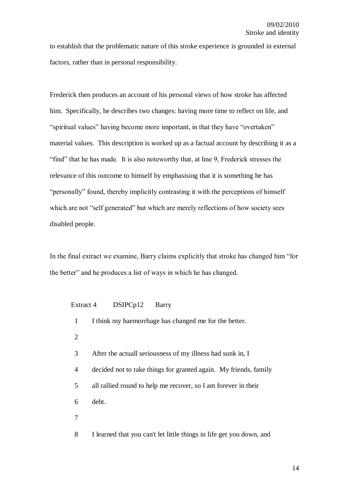to establish that the problematic nature of this stroke experience is grounded in external factors, rather than in personal responsibility.

Frederick then produces an account of his personal views of how stroke has affected him. Specifically, he describes two changes: having more time to reflect on life, and "spiritual values" having become more important, in that they have "overtaken" material values. This description is worked up as a factual account by describing it as a "find" that he has made. It is also noteworthy that, at line 9, Frederick stresses the relevance of this outcome to himself by emphasising that it is something he has "personally" found, thereby implicitly contrasting it with the perceptions of himself which are not "self generated" but which are merely reflections of how society sees disabled people.

In the final extract we examine, Barry claims explicitly that stroke has changed him "for the better" and he produces a list of ways in which he has changed.

| Extract 4    | DSIPCp12<br>Barry                                                    |
|--------------|----------------------------------------------------------------------|
| $\mathbf{1}$ | I think my haemorrhage has changed me for the better.                |
| 2            |                                                                      |
| 3            | After the actuall seriousness of my illness had sunk in, I           |
| 4            | decided not to take things for granted again. My friends, family     |
| 5            | all rallied round to help me recover, so I am forever in their       |
| 6            | debt.                                                                |
| 7            |                                                                      |
| 8            | I learned that you can't let little things in life get you down, and |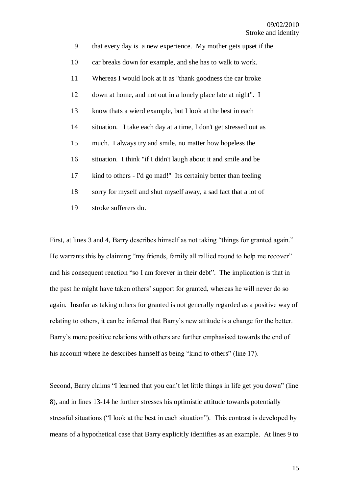| 9  | that every day is a new experience. My mother gets upset if the   |
|----|-------------------------------------------------------------------|
| 10 | car breaks down for example, and she has to walk to work.         |
| 11 | Whereas I would look at it as "thank goodness the car broke"      |
| 12 | down at home, and not out in a lonely place late at night". I     |
| 13 | know thats a wierd example, but I look at the best in each        |
| 14 | situation. I take each day at a time, I don't get stressed out as |
| 15 | much. I always try and smile, no matter how hopeless the          |
| 16 | situation. I think "if I didn't laugh about it and smile and be   |
| 17 | kind to others - I'd go mad!" Its certainly better than feeling   |
| 18 | sorry for myself and shut myself away, a sad fact that a lot of   |
| 19 | stroke sufferers do.                                              |

First, at lines 3 and 4, Barry describes himself as not taking "things for granted again." He warrants this by claiming "my friends, family all rallied round to help me recover" and his consequent reaction "so I am forever in their debt". The implication is that in the past he might have taken others" support for granted, whereas he will never do so again. Insofar as taking others for granted is not generally regarded as a positive way of relating to others, it can be inferred that Barry"s new attitude is a change for the better. Barry's more positive relations with others are further emphasised towards the end of his account where he describes himself as being "kind to others" (line 17).

Second, Barry claims "I learned that you can't let little things in life get you down" (line 8), and in lines 13-14 he further stresses his optimistic attitude towards potentially stressful situations ("I look at the best in each situation"). This contrast is developed by means of a hypothetical case that Barry explicitly identifies as an example. At lines 9 to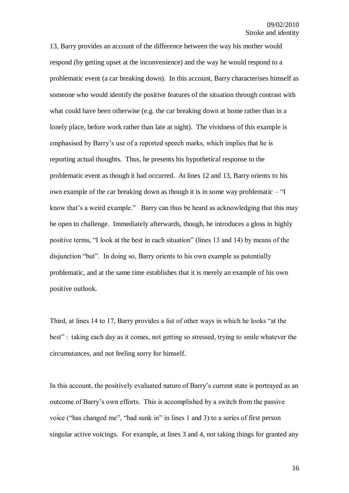13, Barry provides an account of the difference between the way his mother would respond (by getting upset at the inconvenience) and the way he would respond to a problematic event (a car breaking down). In this account, Barry characterises himself as someone who would identify the positive features of the situation through contrast with what could have been otherwise (e.g. the car breaking down at home rather than in a lonely place, before work rather than late at night). The vividness of this example is emphasised by Barry"s use of a reported speech marks, which implies that he is reporting actual thoughts. Thus, he presents his hypothetical response to the problematic event as though it had occurred. At lines 12 and 13, Barry orients to his own example of the car breaking down as though it is in some way problematic – "I know that's a weird example." Barry can thus be heard as acknowledging that this may be open to challenge. Immediately afterwards, though, he introduces a gloss in highly positive terms, "I look at the best in each situation" (lines 13 and 14) by means of the disjunction "but". In doing so, Barry orients to his own example as potentially problematic, and at the same time establishes that it is merely an example of his own positive outlook.

Third, at lines 14 to 17, Barry provides a list of other ways in which he looks "at the best" : taking each day as it comes, not getting so stressed, trying to smile whatever the circumstances, and not feeling sorry for himself.

In this account, the positively evaluated nature of Barry's current state is portrayed as an outcome of Barry"s own efforts. This is accomplished by a switch from the passive voice ("has changed me", "had sunk in" in lines 1 and 3) to a series of first person singular active voicings. For example, at lines 3 and 4, not taking things for granted any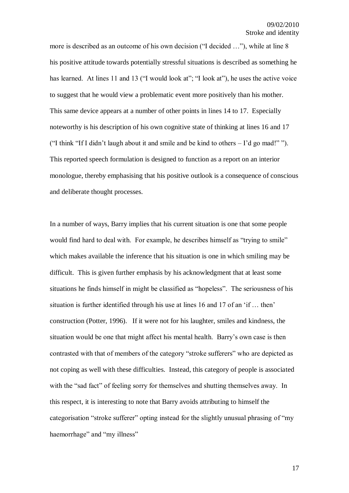more is described as an outcome of his own decision ("I decided …"), while at line 8 his positive attitude towards potentially stressful situations is described as something he has learned. At lines 11 and 13 ("I would look at"; "I look at"), he uses the active voice to suggest that he would view a problematic event more positively than his mother. This same device appears at a number of other points in lines 14 to 17. Especially noteworthy is his description of his own cognitive state of thinking at lines 16 and 17 ("I think "If I didn"t laugh about it and smile and be kind to others – I"d go mad!" "). This reported speech formulation is designed to function as a report on an interior monologue, thereby emphasising that his positive outlook is a consequence of conscious and deliberate thought processes.

In a number of ways, Barry implies that his current situation is one that some people would find hard to deal with. For example, he describes himself as "trying to smile" which makes available the inference that his situation is one in which smiling may be difficult. This is given further emphasis by his acknowledgment that at least some situations he finds himself in might be classified as "hopeless". The seriousness of his situation is further identified through his use at lines 16 and 17 of an "if … then" construction (Potter, 1996). If it were not for his laughter, smiles and kindness, the situation would be one that might affect his mental health. Barry"s own case is then contrasted with that of members of the category "stroke sufferers" who are depicted as not coping as well with these difficulties. Instead, this category of people is associated with the "sad fact" of feeling sorry for themselves and shutting themselves away. In this respect, it is interesting to note that Barry avoids attributing to himself the categorisation "stroke sufferer" opting instead for the slightly unusual phrasing of "my haemorrhage" and "my illness"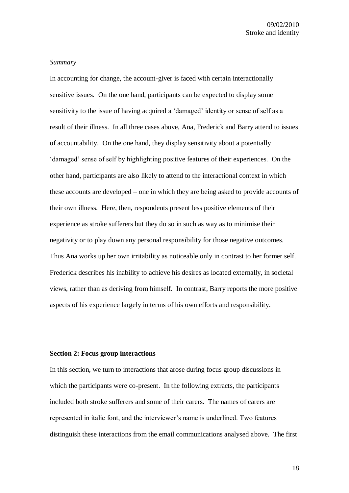## *Summary*

In accounting for change, the account-giver is faced with certain interactionally sensitive issues. On the one hand, participants can be expected to display some sensitivity to the issue of having acquired a 'damaged' identity or sense of self as a result of their illness. In all three cases above, Ana, Frederick and Barry attend to issues of accountability. On the one hand, they display sensitivity about a potentially "damaged" sense of self by highlighting positive features of their experiences. On the other hand, participants are also likely to attend to the interactional context in which these accounts are developed – one in which they are being asked to provide accounts of their own illness. Here, then, respondents present less positive elements of their experience as stroke sufferers but they do so in such as way as to minimise their negativity or to play down any personal responsibility for those negative outcomes. Thus Ana works up her own irritability as noticeable only in contrast to her former self. Frederick describes his inability to achieve his desires as located externally, in societal views, rather than as deriving from himself. In contrast, Barry reports the more positive aspects of his experience largely in terms of his own efforts and responsibility.

#### **Section 2: Focus group interactions**

In this section, we turn to interactions that arose during focus group discussions in which the participants were co-present. In the following extracts, the participants included both stroke sufferers and some of their carers. The names of carers are represented in italic font, and the interviewer"s name is underlined. Two features distinguish these interactions from the email communications analysed above. The first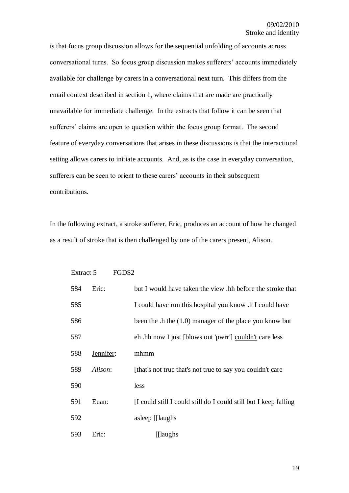is that focus group discussion allows for the sequential unfolding of accounts across conversational turns. So focus group discussion makes sufferers" accounts immediately available for challenge by carers in a conversational next turn. This differs from the email context described in section 1, where claims that are made are practically unavailable for immediate challenge. In the extracts that follow it can be seen that sufferers' claims are open to question within the focus group format. The second feature of everyday conversations that arises in these discussions is that the interactional setting allows carers to initiate accounts. And, as is the case in everyday conversation, sufferers can be seen to orient to these carers' accounts in their subsequent contributions.

In the following extract, a stroke sufferer, Eric, produces an account of how he changed as a result of stroke that is then challenged by one of the carers present, Alison.

| Extract 5 |           | FGDS <sub>2</sub>                                                |
|-----------|-----------|------------------------------------------------------------------|
| 584       | Eric:     | but I would have taken the view .hh before the stroke that       |
| 585       |           | I could have run this hospital you know .h I could have          |
| 586       |           | been the .h the $(1.0)$ manager of the place you know but        |
| 587       |           | eh .hh now I just [blows out 'pwrr'] couldn't care less          |
| 588       | Jennifer: | mhmm                                                             |
| 589       | Alison:   | [that's not true that's not true to say you couldn't care        |
| 590       |           | less                                                             |
| 591       | Euan:     | [I could still I could still do I could still but I keep falling |
| 592       |           | asleep [[laughs]                                                 |
| 593       | Eric:     | [[laughs]                                                        |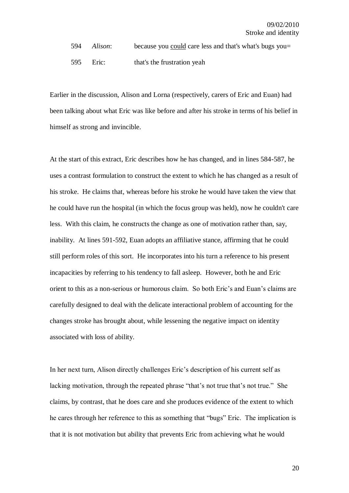594 *Alison*: because you could care less and that's what's bugs you=

595 Eric: that's the frustration yeah

Earlier in the discussion, Alison and Lorna (respectively, carers of Eric and Euan) had been talking about what Eric was like before and after his stroke in terms of his belief in himself as strong and invincible.

At the start of this extract, Eric describes how he has changed, and in lines 584-587, he uses a contrast formulation to construct the extent to which he has changed as a result of his stroke. He claims that, whereas before his stroke he would have taken the view that he could have run the hospital (in which the focus group was held), now he couldn't care less. With this claim, he constructs the change as one of motivation rather than, say, inability. At lines 591-592, Euan adopts an affiliative stance, affirming that he could still perform roles of this sort. He incorporates into his turn a reference to his present incapacities by referring to his tendency to fall asleep. However, both he and Eric orient to this as a non-serious or humorous claim. So both Eric"s and Euan"s claims are carefully designed to deal with the delicate interactional problem of accounting for the changes stroke has brought about, while lessening the negative impact on identity associated with loss of ability.

In her next turn, Alison directly challenges Eric"s description of his current self as lacking motivation, through the repeated phrase "that's not true that's not true." She claims, by contrast, that he does care and she produces evidence of the extent to which he cares through her reference to this as something that "bugs" Eric. The implication is that it is not motivation but ability that prevents Eric from achieving what he would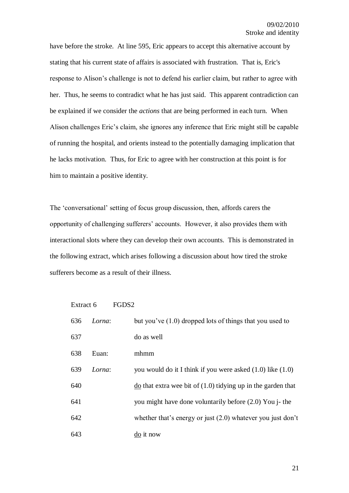have before the stroke. At line 595, Eric appears to accept this alternative account by stating that his current state of affairs is associated with frustration. That is, Eric's response to Alison"s challenge is not to defend his earlier claim, but rather to agree with her. Thus, he seems to contradict what he has just said. This apparent contradiction can be explained if we consider the *actions* that are being performed in each turn. When Alison challenges Eric"s claim, she ignores any inference that Eric might still be capable of running the hospital, and orients instead to the potentially damaging implication that he lacks motivation. Thus, for Eric to agree with her construction at this point is for him to maintain a positive identity.

The "conversational" setting of focus group discussion, then, affords carers the opportunity of challenging sufferers" accounts. However, it also provides them with interactional slots where they can develop their own accounts. This is demonstrated in the following extract, which arises following a discussion about how tired the stroke sufferers become as a result of their illness.

| Extract 6 |        | FGDS2 |                                                                                   |
|-----------|--------|-------|-----------------------------------------------------------------------------------|
| 636       | Lorna: |       | but you've $(1.0)$ dropped lots of things that you used to                        |
| 637       |        |       | do as well                                                                        |
| 638       | Euan:  |       | mhmm                                                                              |
| 639       | Lorna: |       | you would do it I think if you were asked $(1.0)$ like $(1.0)$                    |
| 640       |        |       | $\underline{\text{do}}$ that extra wee bit of (1.0) tidying up in the garden that |
| 641       |        |       | you might have done voluntarily before (2.0) You j- the                           |
| 642       |        |       | whether that's energy or just $(2.0)$ whatever you just don't                     |
| 643       |        |       | do it now                                                                         |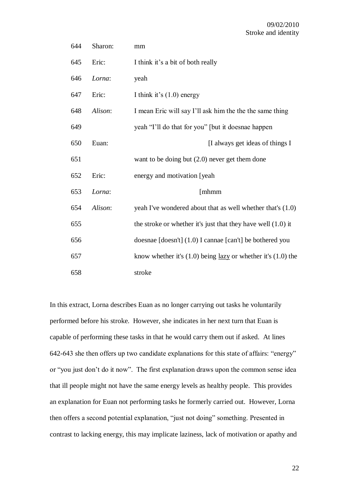| 644 | Sharon: | mm                                                                      |
|-----|---------|-------------------------------------------------------------------------|
| 645 | Eric:   | I think it's a bit of both really                                       |
| 646 | Lorna:  | yeah                                                                    |
| 647 | Eric:   | I think it's $(1.0)$ energy                                             |
| 648 | Alison: | I mean Eric will say I'll ask him the the the same thing                |
| 649 |         | yeah "I'll do that for you" [but it doesnae happen                      |
| 650 | Euan:   | [I always get ideas of things I                                         |
| 651 |         | want to be doing but $(2.0)$ never get them done                        |
| 652 | Eric:   | energy and motivation [yeah                                             |
| 653 | Lorna:  | [mhmm                                                                   |
| 654 | Alison: | yeah I've wondered about that as well whether that's (1.0)              |
| 655 |         | the stroke or whether it's just that they have well $(1.0)$ it          |
| 656 |         | doesnae [doesn't] (1.0) I cannae [can't] be bothered you                |
| 657 |         | know whether it's $(1.0)$ being <u>lazy</u> or whether it's $(1.0)$ the |
| 658 |         | stroke                                                                  |

In this extract, Lorna describes Euan as no longer carrying out tasks he voluntarily performed before his stroke. However, she indicates in her next turn that Euan is capable of performing these tasks in that he would carry them out if asked. At lines 642-643 she then offers up two candidate explanations for this state of affairs: "energy" or "you just don"t do it now". The first explanation draws upon the common sense idea that ill people might not have the same energy levels as healthy people. This provides an explanation for Euan not performing tasks he formerly carried out. However, Lorna then offers a second potential explanation, "just not doing" something. Presented in contrast to lacking energy, this may implicate laziness, lack of motivation or apathy and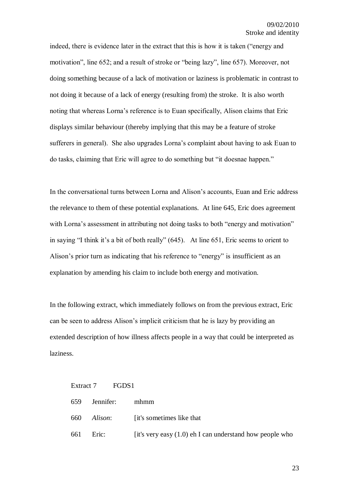indeed, there is evidence later in the extract that this is how it is taken ("energy and motivation", line 652; and a result of stroke or "being lazy", line 657). Moreover, not doing something because of a lack of motivation or laziness is problematic in contrast to not doing it because of a lack of energy (resulting from) the stroke. It is also worth noting that whereas Lorna"s reference is to Euan specifically, Alison claims that Eric displays similar behaviour (thereby implying that this may be a feature of stroke sufferers in general). She also upgrades Lorna's complaint about having to ask Euan to do tasks, claiming that Eric will agree to do something but "it doesnae happen."

In the conversational turns between Lorna and Alison"s accounts, Euan and Eric address the relevance to them of these potential explanations. At line 645, Eric does agreement with Lorna's assessment in attributing not doing tasks to both "energy and motivation" in saying "I think it's a bit of both really" (645). At line 651, Eric seems to orient to Alison"s prior turn as indicating that his reference to "energy" is insufficient as an explanation by amending his claim to include both energy and motivation.

In the following extract, which immediately follows on from the previous extract, Eric can be seen to address Alison"s implicit criticism that he is lazy by providing an extended description of how illness affects people in a way that could be interpreted as laziness.

|     | Extract 7 FGDS1 |                                                            |
|-----|-----------------|------------------------------------------------------------|
| 659 | Jennifer:       | mhmm                                                       |
| 660 |                 | <i>Alison</i> : [it's sometimes like that                  |
|     | 661 Eric:       | [it's very easy $(1.0)$ eh I can understand how people who |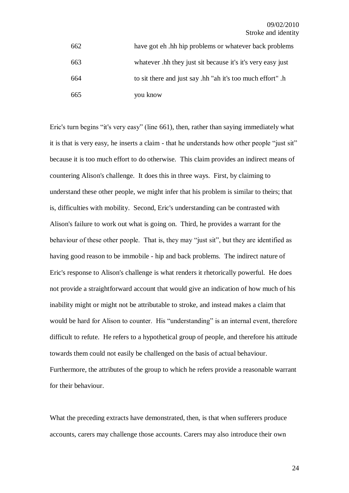| 662 | have got eh. hh hip problems or whatever back problems      |
|-----|-------------------------------------------------------------|
| 663 | whatever .hh they just sit because it's it's very easy just |
| 664 | to sit there and just say .hh "ah it's too much effort".h   |
| 665 | you know                                                    |

Eric's turn begins "it's very easy" (line 661), then, rather than saying immediately what it is that is very easy, he inserts a claim - that he understands how other people "just sit" because it is too much effort to do otherwise. This claim provides an indirect means of countering Alison's challenge. It does this in three ways. First, by claiming to understand these other people, we might infer that his problem is similar to theirs; that is, difficulties with mobility. Second, Eric's understanding can be contrasted with Alison's failure to work out what is going on. Third, he provides a warrant for the behaviour of these other people. That is, they may "just sit", but they are identified as having good reason to be immobile - hip and back problems. The indirect nature of Eric's response to Alison's challenge is what renders it rhetorically powerful. He does not provide a straightforward account that would give an indication of how much of his inability might or might not be attributable to stroke, and instead makes a claim that would be hard for Alison to counter. His "understanding" is an internal event, therefore difficult to refute. He refers to a hypothetical group of people, and therefore his attitude towards them could not easily be challenged on the basis of actual behaviour. Furthermore, the attributes of the group to which he refers provide a reasonable warrant for their behaviour.

What the preceding extracts have demonstrated, then, is that when sufferers produce accounts, carers may challenge those accounts. Carers may also introduce their own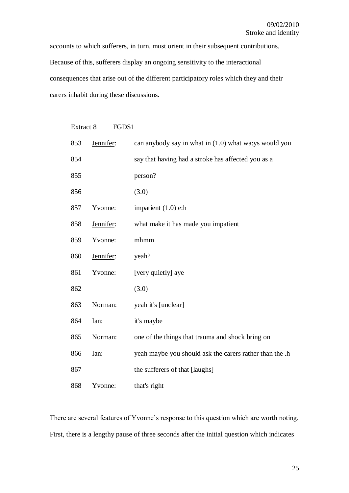accounts to which sufferers, in turn, must orient in their subsequent contributions. Because of this, sufferers display an ongoing sensitivity to the interactional consequences that arise out of the different participatory roles which they and their carers inhabit during these discussions.

| Extract 8<br>FGDS1 |           |                                                          |  |
|--------------------|-----------|----------------------------------------------------------|--|
| 853                | Jennifer: | can anybody say in what in $(1.0)$ what wa: ys would you |  |
| 854                |           | say that having had a stroke has affected you as a       |  |
| 855                |           | person?                                                  |  |
| 856                |           | (3.0)                                                    |  |
| 857                | Yvonne:   | impatient $(1.0)$ e:h                                    |  |
| 858                | Jennifer: | what make it has made you impatient                      |  |
| 859                | Yvonne:   | mhmm                                                     |  |
| 860                | Jennifer: | yeah?                                                    |  |
| 861                | Yvonne:   | [very quietly] aye                                       |  |
| 862                |           | (3.0)                                                    |  |
| 863                | Norman:   | yeah it's [unclear]                                      |  |
| 864                | Ian:      | it's maybe                                               |  |
| 865                | Norman:   | one of the things that trauma and shock bring on         |  |
| 866                | Ian:      | yeah maybe you should ask the carers rather than the .h  |  |
| 867                |           | the sufferers of that [laughs]                           |  |
| 868                | Yvonne:   | that's right                                             |  |

There are several features of Yvonne's response to this question which are worth noting. First, there is a lengthy pause of three seconds after the initial question which indicates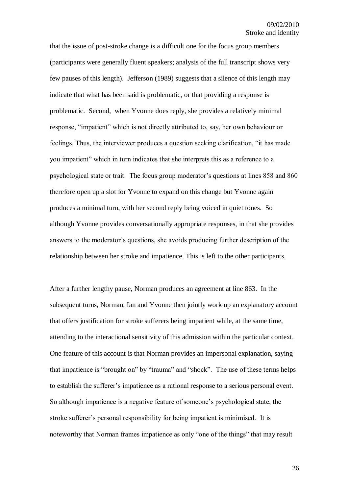that the issue of post-stroke change is a difficult one for the focus group members (participants were generally fluent speakers; analysis of the full transcript shows very few pauses of this length). Jefferson (1989) suggests that a silence of this length may indicate that what has been said is problematic, or that providing a response is problematic. Second, when Yvonne does reply, she provides a relatively minimal response, "impatient" which is not directly attributed to, say, her own behaviour or feelings. Thus, the interviewer produces a question seeking clarification, "it has made you impatient" which in turn indicates that she interprets this as a reference to a psychological state or trait. The focus group moderator's questions at lines 858 and 860 therefore open up a slot for Yvonne to expand on this change but Yvonne again produces a minimal turn, with her second reply being voiced in quiet tones. So although Yvonne provides conversationally appropriate responses, in that she provides answers to the moderator"s questions, she avoids producing further description of the relationship between her stroke and impatience. This is left to the other participants.

After a further lengthy pause, Norman produces an agreement at line 863. In the subsequent turns, Norman, Ian and Yvonne then jointly work up an explanatory account that offers justification for stroke sufferers being impatient while, at the same time, attending to the interactional sensitivity of this admission within the particular context. One feature of this account is that Norman provides an impersonal explanation, saying that impatience is "brought on" by "trauma" and "shock". The use of these terms helps to establish the sufferer"s impatience as a rational response to a serious personal event. So although impatience is a negative feature of someone"s psychological state, the stroke sufferer"s personal responsibility for being impatient is minimised. It is noteworthy that Norman frames impatience as only "one of the things" that may result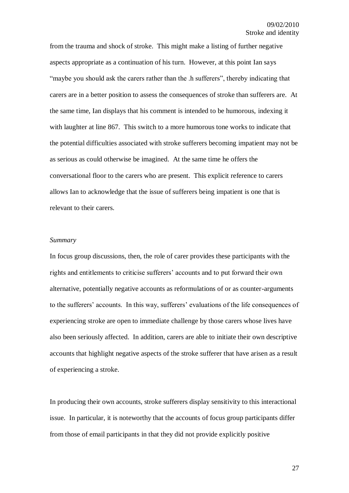from the trauma and shock of stroke. This might make a listing of further negative aspects appropriate as a continuation of his turn. However, at this point Ian says "maybe you should ask the carers rather than the .h sufferers", thereby indicating that carers are in a better position to assess the consequences of stroke than sufferers are. At the same time, Ian displays that his comment is intended to be humorous, indexing it with laughter at line 867. This switch to a more humorous tone works to indicate that the potential difficulties associated with stroke sufferers becoming impatient may not be as serious as could otherwise be imagined. At the same time he offers the conversational floor to the carers who are present. This explicit reference to carers allows Ian to acknowledge that the issue of sufferers being impatient is one that is relevant to their carers.

## *Summary*

In focus group discussions, then, the role of carer provides these participants with the rights and entitlements to criticise sufferers' accounts and to put forward their own alternative, potentially negative accounts as reformulations of or as counter-arguments to the sufferers' accounts. In this way, sufferers' evaluations of the life consequences of experiencing stroke are open to immediate challenge by those carers whose lives have also been seriously affected. In addition, carers are able to initiate their own descriptive accounts that highlight negative aspects of the stroke sufferer that have arisen as a result of experiencing a stroke.

In producing their own accounts, stroke sufferers display sensitivity to this interactional issue. In particular, it is noteworthy that the accounts of focus group participants differ from those of email participants in that they did not provide explicitly positive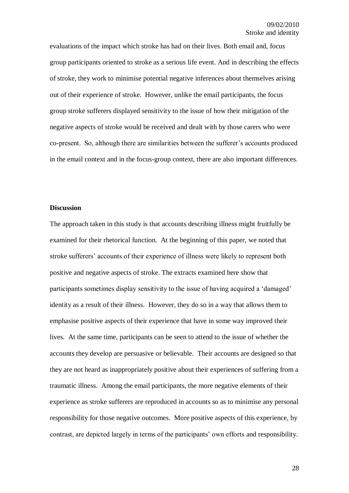evaluations of the impact which stroke has had on their lives. Both email and, focus group participants oriented to stroke as a serious life event. And in describing the effects of stroke, they work to minimise potential negative inferences about themselves arising out of their experience of stroke. However, unlike the email participants, the focus group stroke sufferers displayed sensitivity to the issue of how their mitigation of the negative aspects of stroke would be received and dealt with by those carers who were co-present. So, although there are similarities between the sufferer"s accounts produced in the email context and in the focus-group context, there are also important differences.

## **Discussion**

The approach taken in this study is that accounts describing illness might fruitfully be examined for their rhetorical function. At the beginning of this paper, we noted that stroke sufferers' accounts of their experience of illness were likely to represent both positive and negative aspects of stroke. The extracts examined here show that participants sometimes display sensitivity to the issue of having acquired a "damaged" identity as a result of their illness. However, they do so in a way that allows them to emphasise positive aspects of their experience that have in some way improved their lives. At the same time, participants can be seen to attend to the issue of whether the accounts they develop are persuasive or believable. Their accounts are designed so that they are not heard as inappropriately positive about their experiences of suffering from a traumatic illness. Among the email participants, the more negative elements of their experience as stroke sufferers are reproduced in accounts so as to minimise any personal responsibility for those negative outcomes. More positive aspects of this experience, by contrast, are depicted largely in terms of the participants' own efforts and responsibility.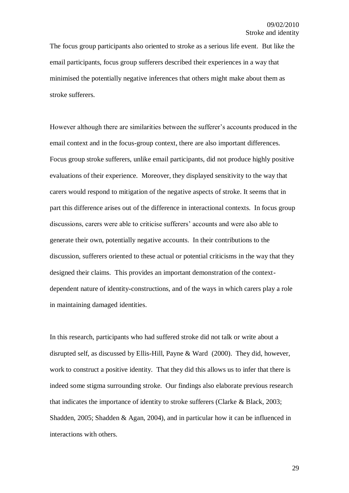The focus group participants also oriented to stroke as a serious life event. But like the email participants, focus group sufferers described their experiences in a way that minimised the potentially negative inferences that others might make about them as stroke sufferers.

However although there are similarities between the sufferer"s accounts produced in the email context and in the focus-group context, there are also important differences. Focus group stroke sufferers, unlike email participants, did not produce highly positive evaluations of their experience. Moreover, they displayed sensitivity to the way that carers would respond to mitigation of the negative aspects of stroke. It seems that in part this difference arises out of the difference in interactional contexts. In focus group discussions, carers were able to criticise sufferers' accounts and were also able to generate their own, potentially negative accounts. In their contributions to the discussion, sufferers oriented to these actual or potential criticisms in the way that they designed their claims. This provides an important demonstration of the contextdependent nature of identity-constructions, and of the ways in which carers play a role in maintaining damaged identities.

In this research, participants who had suffered stroke did not talk or write about a disrupted self, as discussed by Ellis-Hill, Payne & Ward (2000). They did, however, work to construct a positive identity. That they did this allows us to infer that there is indeed some stigma surrounding stroke. Our findings also elaborate previous research that indicates the importance of identity to stroke sufferers (Clarke & Black, 2003; Shadden, 2005; Shadden & Agan, 2004), and in particular how it can be influenced in interactions with others.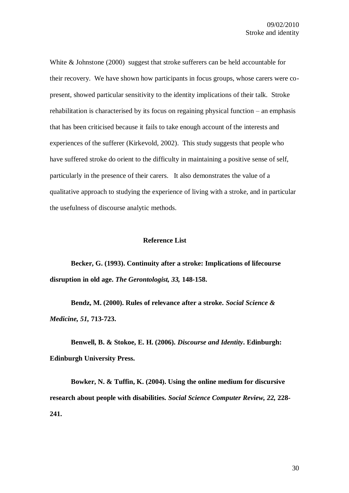White & Johnstone (2000) suggest that stroke sufferers can be held accountable for their recovery. We have shown how participants in focus groups, whose carers were copresent, showed particular sensitivity to the identity implications of their talk. Stroke rehabilitation is characterised by its focus on regaining physical function – an emphasis that has been criticised because it fails to take enough account of the interests and experiences of the sufferer (Kirkevold, 2002). This study suggests that people who have suffered stroke do orient to the difficulty in maintaining a positive sense of self, particularly in the presence of their carers. It also demonstrates the value of a qualitative approach to studying the experience of living with a stroke, and in particular the usefulness of discourse analytic methods.

### **Reference List**

**Becker, G. (1993). Continuity after a stroke: Implications of lifecourse disruption in old age.** *The Gerontologist, 33,* **148-158.**

**Bendz, M. (2000). Rules of relevance after a stroke.** *Social Science & Medicine, 51,* **713-723.**

**Benwell, B. & Stokoe, E. H. (2006).** *Discourse and Identity***. Edinburgh: Edinburgh University Press.**

**Bowker, N. & Tuffin, K. (2004). Using the online medium for discursive research about people with disabilities.** *Social Science Computer Review, 22,* **228- 241.**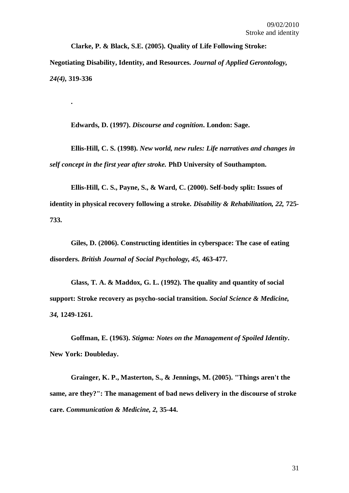**Clarke, P. & Black, S.E. (2005). Quality of Life Following Stroke: Negotiating Disability, Identity, and Resources.** *Journal of Applied Gerontology, 24(4),* **319-336**

**Edwards, D. (1997).** *Discourse and cognition***. London: Sage.**

**.**

**Ellis-Hill, C. S. (1998).** *New world, new rules: Life narratives and changes in self concept in the first year after stroke.* **PhD University of Southampton.**

**Ellis-Hill, C. S., Payne, S., & Ward, C. (2000). Self-body split: Issues of identity in physical recovery following a stroke.** *Disability & Rehabilitation, 22,* **725- 733.**

**Giles, D. (2006). Constructing identities in cyberspace: The case of eating disorders.** *British Journal of Social Psychology, 45,* **463-477.**

**Glass, T. A. & Maddox, G. L. (1992). The quality and quantity of social support: Stroke recovery as psycho-social transition.** *Social Science & Medicine, 34,* **1249-1261.**

**Goffman, E. (1963).** *Stigma: Notes on the Management of Spoiled Identity***. New York: Doubleday.**

**Grainger, K. P., Masterton, S., & Jennings, M. (2005). "Things aren't the same, are they?": The management of bad news delivery in the discourse of stroke care.** *Communication & Medicine, 2,* **35-44.**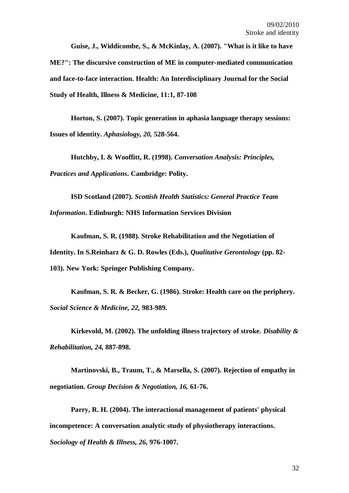**Guise, J., Widdicombe, S., & McKinlay, A. (2007). "What is it like to have ME?": The discursive construction of ME in computer-mediated communication and face-to-face interaction. Health: An Interdisciplinary Journal for the Social Study of Health, Illness & Medicine, 11:1, 87-108**

**Horton, S. (2007). Topic generation in aphasia language therapy sessions: Issues of identity.** *Aphasiology, 20,* **528-564.**

**Hutchby, I. & Wooffitt, R. (1998).** *Conversation Analysis: Principles, Practices and Applications***. Cambridge: Polity.**

**ISD Scotland (2007).** *Scottish Health Statistics: General Practice Team Information***. Edinburgh: NHS Information Services Division**

**Kaufman, S. R. (1988). Stroke Rehabilitation and the Negotiation of Identity. In S.Reinharz & G. D. Rowles (Eds.),** *Qualitative Gerontology* **(pp. 82- 103). New York: Springer Publishing Company.**

**Kaufman, S. R. & Becker, G. (1986). Stroke: Health care on the periphery.**  *Social Science & Medicine, 22,* **983-989.**

**Kirkevold, M. (2002). The unfolding illness trajectory of stroke.** *Disability & Rehabilitation, 24,* **887-898.**

**Martinovski, B., Traum, T., & Marsella, S. (2007). Rejection of empathy in negotiation.** *Group Decision & Negotiation, 16,* **61-76.**

**Parry, R. H. (2004). The interactional management of patients' physical incompetence: A conversation analytic study of physiotherapy interactions.**  *Sociology of Health & Illness, 26,* **976-1007.**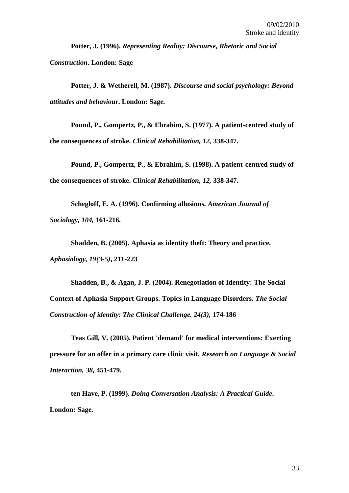**Potter, J. (1996).** *Representing Reality: Discourse, Rhetoric and Social Construction***. London: Sage**

**Potter, J. & Wetherell, M. (1987).** *Discourse and social psychology: Beyond attitudes and behaviour***. London: Sage.**

**Pound, P., Gompertz, P., & Ebrahim, S. (1977). A patient-centred study of the consequences of stroke.** *Clinical Rehabilitation, 12,* **338-347.**

**Pound, P., Gompertz, P., & Ebrahim, S. (1998). A patient-centred study of the consequences of stroke.** *Clinical Rehabilitation, 12,* **338-347.**

**Schegloff, E. A. (1996). Confirming allusions.** *American Journal of Sociology, 104,* **161-216.**

**Shadden, B. (2005). Aphasia as identity theft: Theory and practice.**  *Aphasiology, 19(3-5)***, 211-223**

**Shadden, B., & Agan, J. P. (2004). Renegotiation of Identity: The Social Context of Aphasia Support Groups. Topics in Language Disorders.** *The Social Construction of identity: The Clinical Challenge. 24(3),* **174-186**

**Teas Gill, V. (2005). Patient 'demand' for medical interventions: Exerting pressure for an offer in a primary care clinic visit.** *Research on Language & Social Interaction, 38,* **451-479.**

**ten Have, P. (1999).** *Doing Conversation Analysis: A Practical Guide***. London: Sage.**